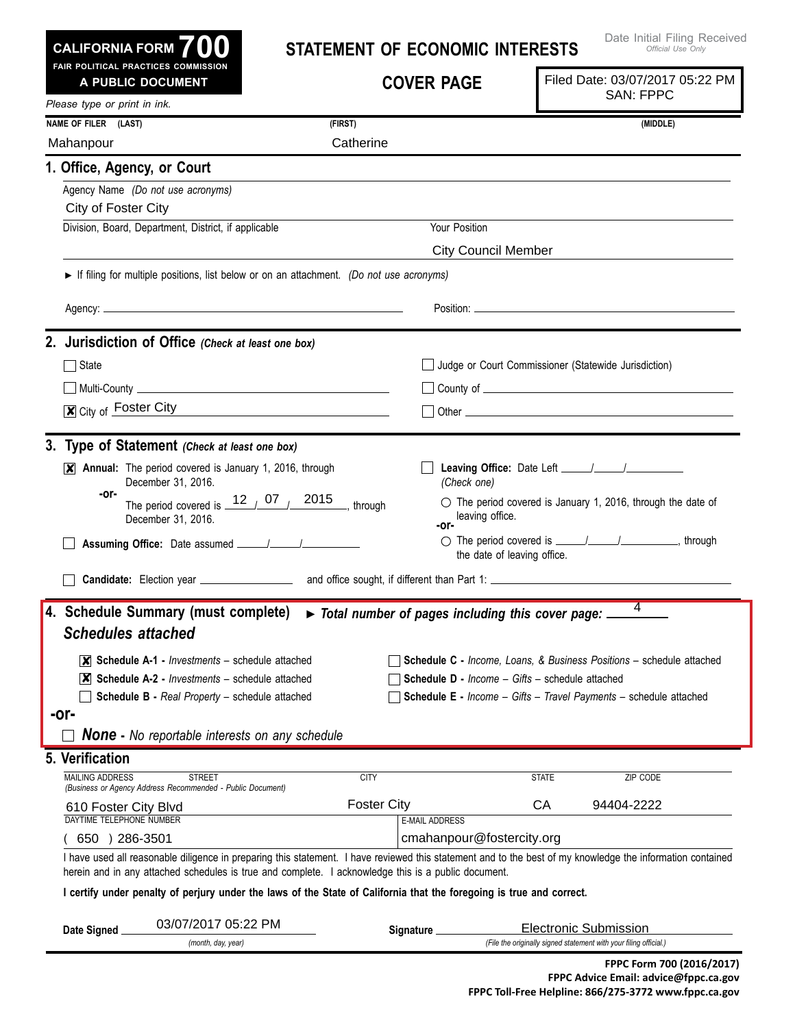**Leaving Office:** Date Left \_\_\_\_\_/\_\_\_\_\_/ *(Check one)*  $\circ$  The period covered is January 1, 2016, through the date of leaving office.  $\bigcirc$  The period covered is  $\frac{1}{\sqrt{1-\frac{1}{2}}}\left( \frac{1}{\sqrt{1-\frac{1}{2}}}\right)$  through the date of leaving office. X Annual: The period covered is January 1, 2016, through December 31, 2016. **<sup>-Or-</sup>** The period covered is  $\frac{12}{100}$  07  $\frac{2015}{1000}$ , through December 31, 2016. **Statement of Economic Interests Cover Page** I have used all reasonable diligence in preparing this statement. I have reviewed this statement and to the best of my knowledge the information contained herein and in any attached schedules is true and complete. I acknowledge this is a public document. I certify under penalty of perjury under the laws of the State of California that the foregoing is true and correct. **Date Signed** *(month, day, year)* **3. Type of Statement** *(Check at least one box)* State State Judge or Court Commissioner (Statewide Jurisdiction)  $\Box$  Multi-County  $\Box$  $\overline{\mathbf{x}}$  City of Foster City  $\qquad \qquad \Box$  Other **2. Jurisdiction of Office** *(Check at least one box)* **Candidate:** Election year **All Election State Sought, if different than Part 1: Assuming Office:** Date assumed / / *Official Use Only Please type or print in ink.* **700 Fair Political Practices Commission CALIFORNIA FORM** Agency Name *(Do not use acronyms)* Division, Board, Department, District, if applicable Vour Position **1. Office, Agency, or Court Name of FileR (Last) (First) (Middle)** MAILING ADDRESS STREET CITY STATE ZIP CO  $(650)$  286-3501 DAYTIME TELEPHONE NUMBER E-MAIL ADDRESS *(Business or Agency Address Recommended - Public Document)* **Signature** *(File the originally signed statement with your filing official.)* **5. Verification A Public Document** ► If filing for multiple positions, list below or on an attachment. *(Do not use acronyms)* Agency: Position: **-or- -or-** *None* **-** *No reportable interests on any schedule* **4. Schedule Summary (must complete)** ► *Total number of pages including this cover page: Schedules attached*  **Schedule A-1 -** *Investments* – schedule attached ✘ **Schedule A-2 -** *Investments* – schedule attached ✘ **Schedule B -** *Real Property* – schedule attached **-or- Schedule C -** *Income, Loans, & Business Positions* – schedule attached **Schedule D -** *Income – Gifts* – schedule attached **Schedule E -** *Income – Gifts – Travel Payments* – schedule attached Mahanpour **Catherine** City of Foster City City Council Member 4 610 Foster City Blvd Foster City CA 94404-2222 cmahanpour@fostercity.org 03/07/2017 05:22 PM Filed Date: 03/07/2017 05:22 PM SAN: FPPC Electronic Submission

Date Initial Filing Received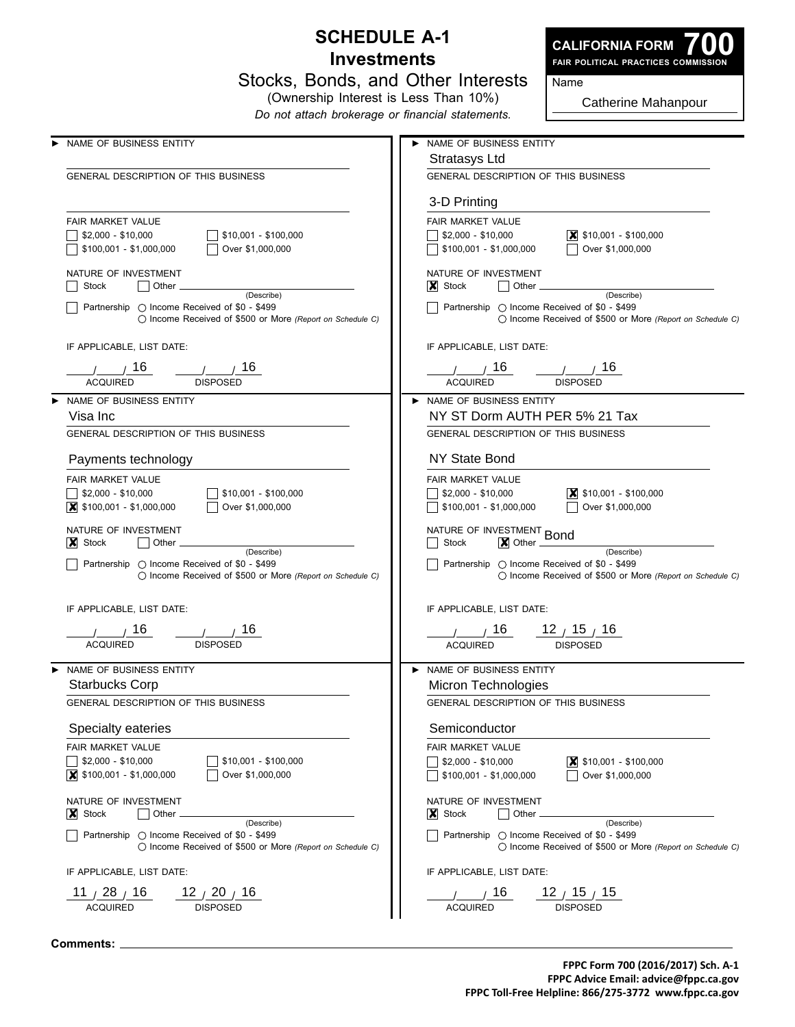## **Schedule A-1 Investments**



**700 Fair Political Practices Commission**

(Ownership Interest is Less Than 10%) *Do not attach brokerage or financial statements.*

Catherine Mahanpour

Name

| NAME OF BUSINESS ENTITY                                                                                                                   | NAME OF BUSINESS ENTITY                                                                                                                   |
|-------------------------------------------------------------------------------------------------------------------------------------------|-------------------------------------------------------------------------------------------------------------------------------------------|
|                                                                                                                                           | Stratasys Ltd                                                                                                                             |
| GENERAL DESCRIPTION OF THIS BUSINESS                                                                                                      | <b>GENERAL DESCRIPTION OF THIS BUSINESS</b>                                                                                               |
|                                                                                                                                           | 3-D Printing                                                                                                                              |
| <b>FAIR MARKET VALUE</b>                                                                                                                  | FAIR MARKET VALUE                                                                                                                         |
| $\vert$ \$10,001 - \$100,000<br>  \$2,000 - \$10,000                                                                                      | $\boxed{\mathsf{X}}$ \$10,001 - \$100,000<br>  \$2,000 - \$10,000                                                                         |
| Over \$1,000,000<br>∫ \$100,001 - \$1,000,000                                                                                             | Over \$1,000,000<br>$\sqrt{15100,001} - 1,000,000$                                                                                        |
| NATURE OF INVESTMENT                                                                                                                      | NATURE OF INVESTMENT                                                                                                                      |
| Stock<br>$\vert$ Other $\vert$<br>(Describe)                                                                                              | $\vert \mathbf{x} \vert$ Stock<br>$\vert$ Other $\_\_$<br>(Describe)                                                                      |
| Partnership ◯ Income Received of \$0 - \$499<br>◯ Income Received of \$500 or More (Report on Schedule C)                                 | Partnership ○ Income Received of \$0 - \$499<br>$\bigcirc$ Income Received of \$500 or More (Report on Schedule C)                        |
| IF APPLICABLE, LIST DATE:                                                                                                                 | IF APPLICABLE, LIST DATE:                                                                                                                 |
|                                                                                                                                           | <u>/ 16 / 16</u>                                                                                                                          |
| <b>ACQUIRED</b><br><b>DISPOSED</b>                                                                                                        | <b>ACQUIRED</b><br><b>DISPOSED</b>                                                                                                        |
| NAME OF BUSINESS ENTITY                                                                                                                   | NAME OF BUSINESS ENTITY                                                                                                                   |
| Visa Inc                                                                                                                                  | NY ST Dorm AUTH PER 5% 21 Tax                                                                                                             |
| GENERAL DESCRIPTION OF THIS BUSINESS                                                                                                      | GENERAL DESCRIPTION OF THIS BUSINESS                                                                                                      |
| Payments technology                                                                                                                       | <b>NY State Bond</b>                                                                                                                      |
| FAIR MARKET VALUE                                                                                                                         | FAIR MARKET VALUE                                                                                                                         |
| $$2,000 - $10,000$<br>$$10,001 - $100,000$                                                                                                | $\vert$ \$10,001 - \$100,000<br>  \$2,000 - \$10,000                                                                                      |
| Over \$1,000,000<br>$\vert$ \$100,001 - \$1,000,000                                                                                       | Over \$1,000,000<br>$$100,001 - $1,000,000$                                                                                               |
| NATURE OF INVESTMENT<br>$\mathsf{X}$ Stock<br>$\vert$ Other $\_\_$                                                                        | NATURE OF INVESTMENT Bond<br>$\overline{\mathsf{X}}$ Other $\overline{\mathsf{X}}$<br>Stock                                               |
| (Describe)<br>Partnership $\bigcirc$ Income Received of \$0 - \$499<br>$\bigcirc$ Income Received of \$500 or More (Report on Schedule C) | (Describe)<br>  Partnership ○ Income Received of \$0 - \$499<br>$\bigcirc$ Income Received of \$500 or More (Report on Schedule C)        |
| IF APPLICABLE, LIST DATE:                                                                                                                 | IF APPLICABLE, LIST DATE:                                                                                                                 |
| $\frac{1}{\sqrt{1-\frac{1}{10}}}$ 16<br>1/16                                                                                              |                                                                                                                                           |
| <b>ACQUIRED</b><br><b>DISPOSED</b>                                                                                                        | <b>DISPOSED</b><br><b>ACQUIRED</b>                                                                                                        |
| NAME OF BUSINESS ENTITY                                                                                                                   | NAME OF BUSINESS ENTITY                                                                                                                   |
| <b>Starbucks Corp</b>                                                                                                                     | Micron Technologies                                                                                                                       |
| GENERAL DESCRIPTION OF THIS BUSINESS                                                                                                      | <b>GENERAL DESCRIPTION OF THIS BUSINESS</b>                                                                                               |
| Specialty eateries                                                                                                                        | Semiconductor                                                                                                                             |
| FAIR MARKET VALUE                                                                                                                         | FAIR MARKET VALUE                                                                                                                         |
| $$2,000 - $10,000$<br>$$10,001 - $100,000$                                                                                                | $ \mathsf{X} $ \$10,001 - \$100,000                                                                                                       |
| $\vert$ \$100,001 - \$1,000,000<br>Over \$1,000,000                                                                                       | $$2,000 - $10,000$<br>Over \$1,000,000<br>\$100,001 - \$1,000,000                                                                         |
| NATURE OF INVESTMENT                                                                                                                      | NATURE OF INVESTMENT                                                                                                                      |
| $ X $ Stock<br>  Other                                                                                                                    | $ X $ Stock<br>Other                                                                                                                      |
| (Describe)<br>Partnership $\bigcirc$ Income Received of \$0 - \$499<br>() Income Received of \$500 or More (Report on Schedule C)         | (Describe)<br>Partnership $\bigcirc$ Income Received of \$0 - \$499<br>$\bigcirc$ Income Received of \$500 or More (Report on Schedule C) |
| IF APPLICABLE, LIST DATE:                                                                                                                 | IF APPLICABLE, LIST DATE:                                                                                                                 |
|                                                                                                                                           |                                                                                                                                           |
| 11 $\frac{128}{16}$<br>12 $\frac{1}{2}$ 20 $\frac{1}{16}$<br><b>DISPOSED</b><br><b>ACQUIRED</b>                                           | 12 <sub>1</sub> 15 <sub>1</sub> 15<br>16<br><b>ACQUIRED</b><br><b>DISPOSED</b>                                                            |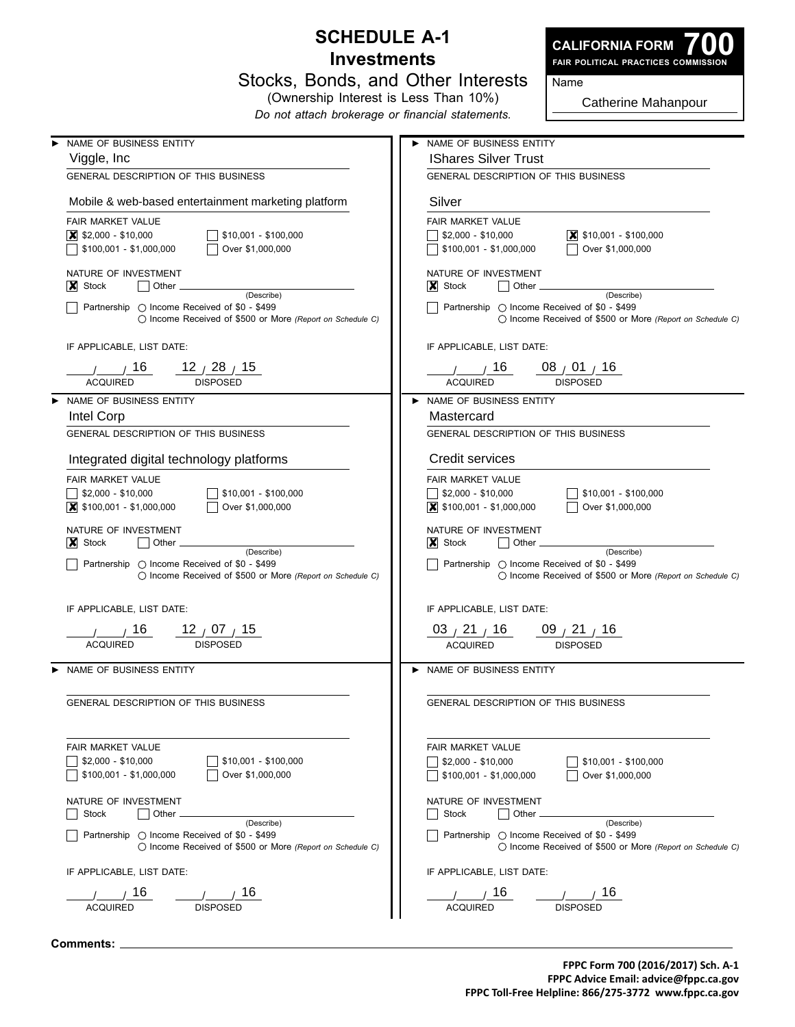## **Schedule A-1 Investments**



**700 Fair Political Practices Commission**

|  |  | Stocks, Bonds, and Other Interests |
|--|--|------------------------------------|
|  |  |                                    |

(Ownership Interest is Less Than 10%) *Do not attach brokerage or financial statements.*

Catherine Mahanpour

Name

| NAME OF BUSINESS ENTITY                                                                                                   | NAME OF BUSINESS ENTITY                                                                                                                    |
|---------------------------------------------------------------------------------------------------------------------------|--------------------------------------------------------------------------------------------------------------------------------------------|
| Viggle, Inc.                                                                                                              | <b>IShares Silver Trust</b>                                                                                                                |
| GENERAL DESCRIPTION OF THIS BUSINESS                                                                                      | GENERAL DESCRIPTION OF THIS BUSINESS                                                                                                       |
| Mobile & web-based entertainment marketing platform                                                                       | Silver                                                                                                                                     |
| FAIR MARKET VALUE                                                                                                         | FAIR MARKET VALUE                                                                                                                          |
| $ \mathsf{X} $ \$2,000 - \$10,000<br>\$10,001 - \$100,000                                                                 | $\vert$ \$10,001 - \$100,000<br>  \$2,000 - \$10,000                                                                                       |
| \$100,001 - \$1,000,000<br>Over \$1,000,000                                                                               | Over \$1,000,000<br>$\sqrt{ }$ \$100,001 - \$1,000,000                                                                                     |
| NATURE OF INVESTMENT<br>$\vert \bm{\mathsf{X}} \vert$ Stock<br>(Describe)<br>Partnership ◯ Income Received of \$0 - \$499 | NATURE OF INVESTMENT<br>$ X $ Stock<br>$\vert$   Other $\vert$<br>(Describe)<br>$\vert$ Partnership $\vert$ Income Received of \$0 - \$499 |
| ◯ Income Received of \$500 or More (Report on Schedule C)                                                                 | $\bigcirc$ Income Received of \$500 or More (Report on Schedule C)                                                                         |
| IF APPLICABLE, LIST DATE:                                                                                                 | IF APPLICABLE, LIST DATE:                                                                                                                  |
| / / 16<br>$12$ $/$ 28 $/$ 15<br><b>ACQUIRED</b><br><b>DISPOSED</b>                                                        | $\frac{1}{1}$ $\frac{16}{16}$<br>08 $\frac{1}{10}$ 01 $\frac{1}{10}$<br><b>ACQUIRED</b><br><b>DISPOSED</b>                                 |
| NAME OF BUSINESS ENTITY                                                                                                   | > NAME OF BUSINESS ENTITY                                                                                                                  |
| <b>Intel Corp</b>                                                                                                         | Mastercard                                                                                                                                 |
| GENERAL DESCRIPTION OF THIS BUSINESS                                                                                      | GENERAL DESCRIPTION OF THIS BUSINESS                                                                                                       |
| Integrated digital technology platforms                                                                                   | Credit services                                                                                                                            |
| FAIR MARKET VALUE                                                                                                         | FAIR MARKET VALUE                                                                                                                          |
|                                                                                                                           |                                                                                                                                            |
| $\sqrt{ }$ \$10,001 - \$100,000<br>$\frac{1}{2}$ \$2,000 - \$10,000<br>◯ Over \$1,000,000                                 | $\sqrt{ }$ \$2,000 - \$10,000<br>    \$10,001 - \$100,000<br>Over \$1,000,000                                                              |
| $\vert$ \$100,001 - \$1,000,000                                                                                           | $\vert$ \$100,001 - \$1,000,000                                                                                                            |
| NATURE OF INVESTMENT                                                                                                      | NATURE OF INVESTMENT                                                                                                                       |
| $\vert \bm{\chi} \vert$ Stock<br>$\vert$ Other $\vert$<br>(Describe)                                                      | $ X $ Stock<br>$\vert$ Other $\vert$<br>(Describe)                                                                                         |
| Partnership O Income Received of \$0 - \$499                                                                              | Partnership $\circ$ Income Received of \$0 - \$499                                                                                         |
| ◯ Income Received of \$500 or More (Report on Schedule C)                                                                 | ◯ Income Received of \$500 or More (Report on Schedule C)                                                                                  |
| IF APPLICABLE, LIST DATE:                                                                                                 | IF APPLICABLE, LIST DATE:                                                                                                                  |
| 16<br>$12^{07}$ / $15^{07}$                                                                                               | 03 $\frac{1}{1}$ 21 $\frac{1}{1}$ 16<br>09 <sub>/</sub> 21 <sub>/</sub> 16                                                                 |
| <b>ACQUIRED</b><br><b>DISPOSED</b>                                                                                        | <b>DISPOSED</b><br><b>ACQUIRED</b>                                                                                                         |
|                                                                                                                           |                                                                                                                                            |
| NAME OF BUSINESS ENTITY                                                                                                   | > NAME OF BUSINESS ENTITY                                                                                                                  |
| GENERAL DESCRIPTION OF THIS BUSINESS                                                                                      | GENERAL DESCRIPTION OF THIS BUSINESS                                                                                                       |
|                                                                                                                           |                                                                                                                                            |
| FAIR MARKET VALUE                                                                                                         | FAIR MARKET VALUE                                                                                                                          |
| $$2,000 - $10,000$<br>$$10,001 - $100,000$                                                                                | $$2,000 - $10,000$<br>$$10,001 - $100,000$                                                                                                 |
| $$100,001 - $1,000,000$<br>Over \$1,000,000                                                                               | $$100,001 - $1,000,000$<br>Over \$1,000,000                                                                                                |
| NATURE OF INVESTMENT                                                                                                      | NATURE OF INVESTMENT                                                                                                                       |
| Stock<br>Other                                                                                                            | <b>Stock</b><br>Other                                                                                                                      |
| (Describe)<br>Partnership $\bigcirc$ Income Received of \$0 - \$499                                                       | (Describe)<br>Partnership ◯ Income Received of \$0 - \$499                                                                                 |
| ◯ Income Received of \$500 or More (Report on Schedule C)                                                                 | () Income Received of \$500 or More (Report on Schedule C)                                                                                 |
| IF APPLICABLE, LIST DATE:                                                                                                 | IF APPLICABLE, LIST DATE:                                                                                                                  |
| 16<br>16                                                                                                                  | 16<br>16                                                                                                                                   |
| <b>ACQUIRED</b><br><b>DISPOSED</b>                                                                                        | <b>ACQUIRED</b><br><b>DISPOSED</b>                                                                                                         |
|                                                                                                                           |                                                                                                                                            |